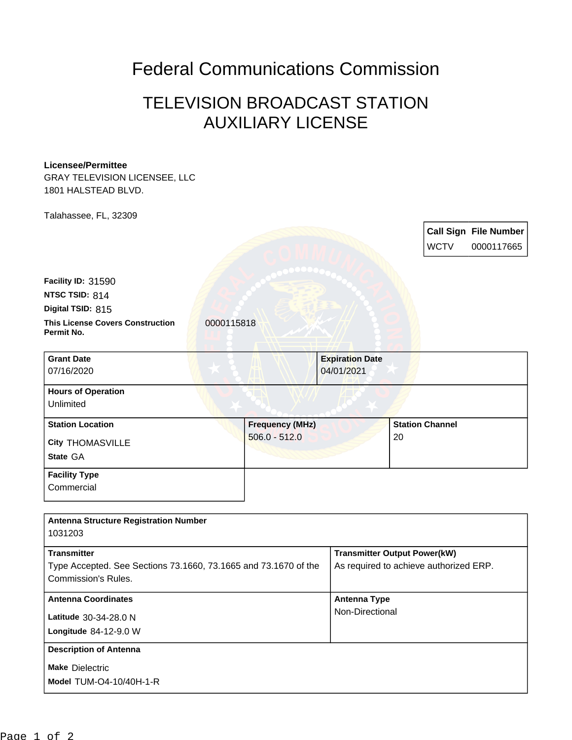## Federal Communications Commission

## TELEVISION BROADCAST STATION AUXILIARY LICENSE

## **Licensee/Permittee**

GRAY TELEVISION LICENSEE, LLC 1801 HALSTEAD BLVD.

Talahassee, FL, 32309 **Call Sign File Number** WCTV 0000117665 **This License Covers Construction 10000115818 Permit No. Digital TSID:** 815 **NTSC TSID:** 814 **Facility ID:** 31590 **State** GA **City** THOMASVILLE **Grant Date** 07/16/2020 **Expiration Date** 04/01/2021 **Hours of Operation** Unlimited **Station Location Figure 1.1 Construction Figure 1.1 Construction Figure 1.1 Construction Figure 1.1 Construction** 506.0 - 512.0 **Station Channel** 20 **Facility Type Commercial** 

| <b>Antenna Structure Registration Number</b><br>1031203         |                                        |
|-----------------------------------------------------------------|----------------------------------------|
| <b>Transmitter</b>                                              | <b>Transmitter Output Power(kW)</b>    |
| Type Accepted. See Sections 73.1660, 73.1665 and 73.1670 of the | As required to achieve authorized ERP. |
| Commission's Rules.                                             |                                        |
| <b>Antenna Coordinates</b>                                      | <b>Antenna Type</b>                    |
| Latitude 30-34-28.0 N                                           | Non-Directional                        |
| Longitude $84-12-9.0$ W                                         |                                        |
| <b>Description of Antenna</b>                                   |                                        |
| <b>Make Dielectric</b>                                          |                                        |
| <b>Model TUM-O4-10/40H-1-R</b>                                  |                                        |